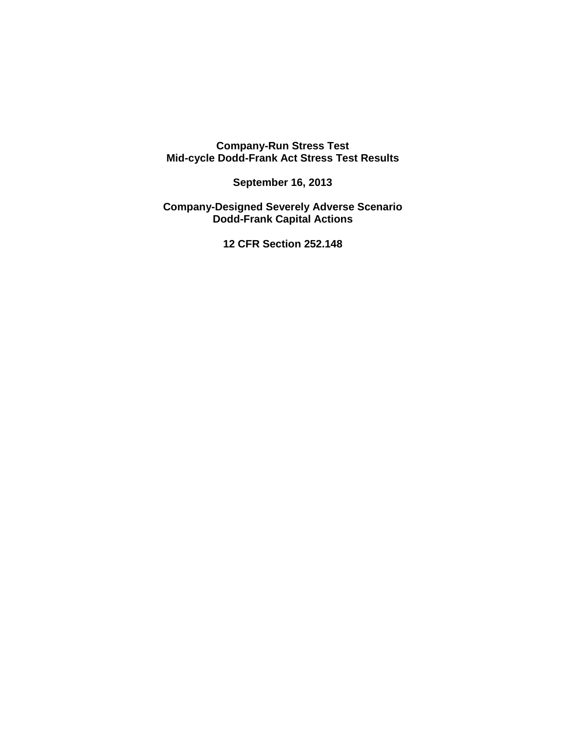**Company-Run Stress Test Mid-cycle Dodd-Frank Act Stress Test Results** 

 **September 16, 2013** 

**Company-Designed Severely Adverse Scenario Dodd-Frank Capital Actions** 

 **12 CFR Section 252.148**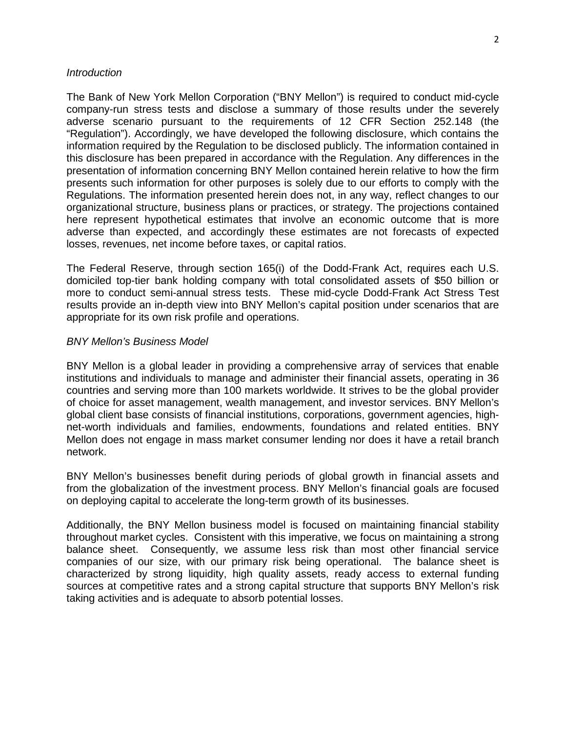## **Introduction**

 The Bank of New York Mellon Corporation ("BNY Mellon") is required to conduct mid-cycle company-run stress tests and disclose a summary of those results under the severely adverse scenario pursuant to the requirements of 12 CFR Section 252.148 (the "Regulation"). Accordingly, we have developed the following disclosure, which contains the information required by the Regulation to be disclosed publicly. The information contained in this disclosure has been prepared in accordance with the Regulation. Any differences in the presentation of information concerning BNY Mellon contained herein relative to how the firm presents such information for other purposes is solely due to our efforts to comply with the Regulations. The information presented herein does not, in any way, reflect changes to our organizational structure, business plans or practices, or strategy. The projections contained here represent hypothetical estimates that involve an economic outcome that is more adverse than expected, and accordingly these estimates are not forecasts of expected losses, revenues, net income before taxes, or capital ratios.

 The Federal Reserve, through section 165(i) of the Dodd-Frank Act, requires each U.S. domiciled top-tier bank holding company with total consolidated assets of \$50 billion or more to conduct semi-annual stress tests. These mid-cycle Dodd-Frank Act Stress Test results provide an in-depth view into BNY Mellon's capital position under scenarios that are appropriate for its own risk profile and operations.

## BNY Mellon's Business Model

 BNY Mellon is a global leader in providing a comprehensive array of services that enable institutions and individuals to manage and administer their financial assets, operating in 36 countries and serving more than 100 markets worldwide. It strives to be the global provider of choice for asset management, wealth management, and investor services. BNY Mellon's global client base consists of financial institutions, corporations, government agencies, high- net-worth individuals and families, endowments, foundations and related entities. BNY Mellon does not engage in mass market consumer lending nor does it have a retail branch network.

 BNY Mellon's businesses benefit during periods of global growth in financial assets and from the globalization of the investment process. BNY Mellon's financial goals are focused on deploying capital to accelerate the long-term growth of its businesses.

 Additionally, the BNY Mellon business model is focused on maintaining financial stability throughout market cycles. Consistent with this imperative, we focus on maintaining a strong balance sheet. Consequently, we assume less risk than most other financial service companies of our size, with our primary risk being operational. The balance sheet is characterized by strong liquidity, high quality assets, ready access to external funding sources at competitive rates and a strong capital structure that supports BNY Mellon's risk taking activities and is adequate to absorb potential losses.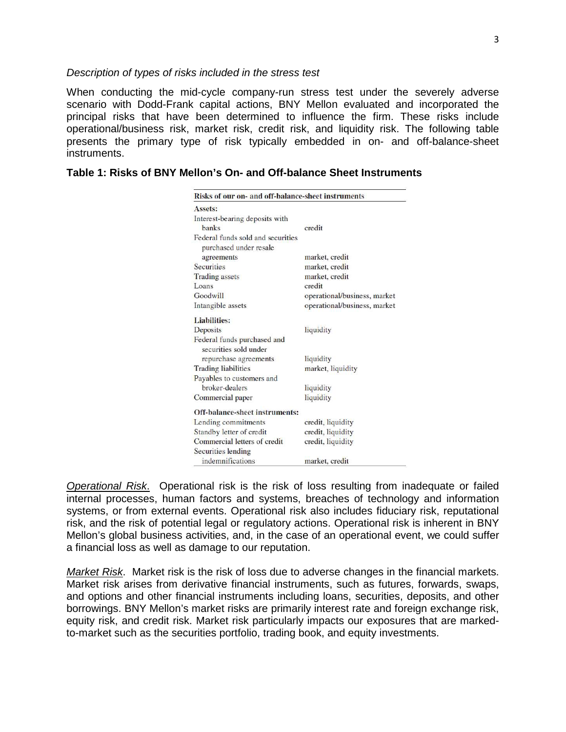#### Description of types of risks included in the stress test

When conducting the mid-cycle company-run stress test under the severely adverse scenario with Dodd-Frank capital actions, BNY Mellon evaluated and incorporated the principal risks that have been determined to influence the firm. These risks include operational/business risk, market risk, credit risk, and liquidity risk. The following table presents the primary type of risk typically embedded in on- and off-balance-sheet instruments.

| Assets:                                                     |                              |
|-------------------------------------------------------------|------------------------------|
| Interest-bearing deposits with                              |                              |
| <b>hanks</b>                                                | credit                       |
| Federal funds sold and securities<br>purchased under resale |                              |
| agreements                                                  | market, credit               |
| <b>Securities</b>                                           | market, credit               |
| <b>Trading</b> assets                                       | market, credit               |
| Loans                                                       | credit                       |
| Goodwill                                                    | operational/business, market |
| Intangible assets                                           | operational/business, market |
| <b>Liabilities:</b>                                         |                              |
| Deposits                                                    | liquidity                    |
| Federal funds purchased and<br>securities sold under        |                              |
| repurchase agreements                                       | liquidity                    |
| <b>Trading liabilities</b>                                  | market, liquidity            |
| Payables to customers and                                   |                              |
| broker-dealers                                              | liquidity                    |
| Commercial paper                                            | liquidity                    |
| Off-balance-sheet instruments:                              |                              |
| Lending commitments                                         | credit, liquidity            |
| Standby letter of credit                                    | credit, liquidity            |
| Commercial letters of credit                                | credit, liquidity            |
| Securities lending                                          |                              |
| indemnifications                                            | market, credit               |

#### **Table 1: Risks of BNY Mellon's On- and Off-balance Sheet Instruments**

**Operational Risk.** Operational risk is the risk of loss resulting from inadequate or failed internal processes, human factors and systems, breaches of technology and information systems, or from external events. Operational risk also includes fiduciary risk, reputational risk, and the risk of potential legal or regulatory actions. Operational risk is inherent in BNY Mellon's global business activities, and, in the case of an operational event, we could suffer a financial loss as well as damage to our reputation.

Market Risk. Market risk is the risk of loss due to adverse changes in the financial markets. Market risk arises from derivative financial instruments, such as futures, forwards, swaps, and options and other financial instruments including loans, securities, deposits, and other borrowings. BNY Mellon's market risks are primarily interest rate and foreign exchange risk, equity risk, and credit risk. Market risk particularly impacts our exposures that are markedto-market such as the securities portfolio, trading book, and equity investments.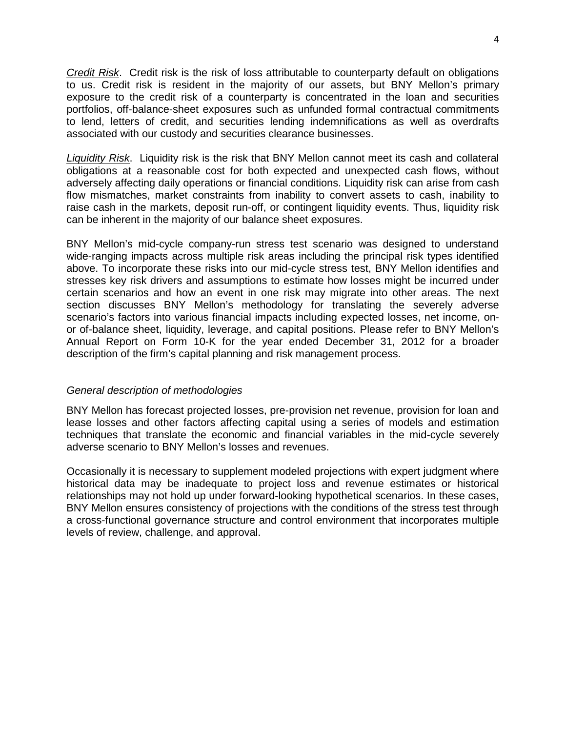Credit Risk. Credit risk is the risk of loss attributable to counterparty default on obligations to us. Credit risk is resident in the majority of our assets, but BNY Mellon's primary exposure to the credit risk of a counterparty is concentrated in the loan and securities portfolios, off-balance-sheet exposures such as unfunded formal contractual commitments to lend, letters of credit, and securities lending indemnifications as well as overdrafts associated with our custody and securities clearance businesses.

Liquidity Risk. Liquidity risk is the risk that BNY Mellon cannot meet its cash and collateral obligations at a reasonable cost for both expected and unexpected cash flows, without adversely affecting daily operations or financial conditions. Liquidity risk can arise from cash flow mismatches, market constraints from inability to convert assets to cash, inability to raise cash in the markets, deposit run-off, or contingent liquidity events. Thus, liquidity risk can be inherent in the majority of our balance sheet exposures.

 BNY Mellon's mid-cycle company-run stress test scenario was designed to understand wide-ranging impacts across multiple risk areas including the principal risk types identified above. To incorporate these risks into our mid-cycle stress test, BNY Mellon identifies and stresses key risk drivers and assumptions to estimate how losses might be incurred under certain scenarios and how an event in one risk may migrate into other areas. The next section discusses BNY Mellon's methodology for translating the severely adverse scenario's factors into various financial impacts including expected losses, net income, on- or of-balance sheet, liquidity, leverage, and capital positions. Please refer to BNY Mellon's Annual Report on Form 10-K for the year ended December 31, 2012 for a broader description of the firm's capital planning and risk management process.

## General description of methodologies

 BNY Mellon has forecast projected losses, pre-provision net revenue, provision for loan and lease losses and other factors affecting capital using a series of models and estimation techniques that translate the economic and financial variables in the mid-cycle severely adverse scenario to BNY Mellon's losses and revenues.

 Occasionally it is necessary to supplement modeled projections with expert judgment where historical data may be inadequate to project loss and revenue estimates or historical relationships may not hold up under forward-looking hypothetical scenarios. In these cases, BNY Mellon ensures consistency of projections with the conditions of the stress test through a cross-functional governance structure and control environment that incorporates multiple levels of review, challenge, and approval.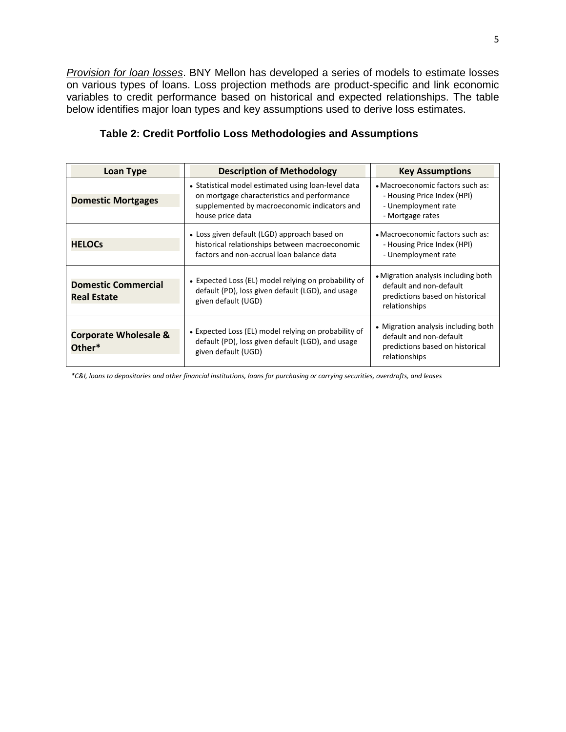Provision for loan losses. BNY Mellon has developed a series of models to estimate losses on various types of loans. Loss projection methods are product-specific and link economic variables to credit performance based on historical and expected relationships. The table below identifies major loan types and key assumptions used to derive loss estimates.

| <b>Loan Type</b>                                 | <b>Description of Methodology</b>                                                                                                                                      | <b>Key Assumptions</b>                                                                                             |
|--------------------------------------------------|------------------------------------------------------------------------------------------------------------------------------------------------------------------------|--------------------------------------------------------------------------------------------------------------------|
| <b>Domestic Mortgages</b>                        | • Statistical model estimated using loan-level data<br>on mortgage characteristics and performance<br>supplemented by macroeconomic indicators and<br>house price data | • Macroeconomic factors such as:<br>- Housing Price Index (HPI)<br>- Unemployment rate<br>- Mortgage rates         |
| <b>HELOCS</b>                                    | • Loss given default (LGD) approach based on<br>historical relationships between macroeconomic<br>factors and non-accrual loan balance data                            | • Macroeconomic factors such as:<br>- Housing Price Index (HPI)<br>- Unemployment rate                             |
| <b>Domestic Commercial</b><br><b>Real Estate</b> | • Expected Loss (EL) model relying on probability of<br>default (PD), loss given default (LGD), and usage<br>given default (UGD)                                       | • Migration analysis including both<br>default and non-default<br>predictions based on historical<br>relationships |
| <b>Corporate Wholesale &amp;</b><br>Other*       | • Expected Loss (EL) model relying on probability of<br>default (PD), loss given default (LGD), and usage<br>given default (UGD)                                       | • Migration analysis including both<br>default and non-default<br>predictions based on historical<br>relationships |

# **Table 2: Credit Portfolio Loss Methodologies and Assumptions**

*\*C&I, loans to depositories and other financial institutions, loans for purchasing or carrying securities, overdrafts, and leases*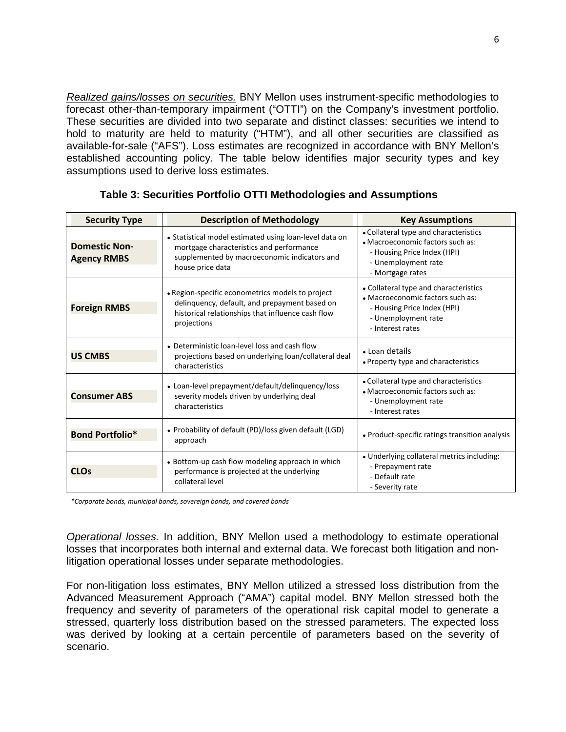Realized gains/losses on securities. BNY Mellon uses instrument-specific methodologies to forecast other-than-temporary impairment ("OTTI") on the Company's investment portfolio. These securities are divided into two separate and distinct classes: securities we intend to hold to maturity are held to maturity ("HTM"), and all other securities are classified as available-for-sale ("AFS"). Loss estimates are recognized in accordance with BNY Mellon's established accounting policy. The table below identifies major security types and key assumptions used to derive loss estimates.

| <b>Security Type</b>                       | <b>Description of Methodology</b>                                                                                                                                      | <b>Key Assumptions</b>                                                                                                                              |
|--------------------------------------------|------------------------------------------------------------------------------------------------------------------------------------------------------------------------|-----------------------------------------------------------------------------------------------------------------------------------------------------|
| <b>Domestic Non-</b><br><b>Agency RMBS</b> | • Statistical model estimated using loan-level data on<br>mortgage characteristics and performance<br>supplemented by macroeconomic indicators and<br>house price data | • Collateral type and characteristics<br>• Macroeconomic factors such as:<br>- Housing Price Index (HPI)<br>- Unemployment rate<br>- Mortgage rates |
| <b>Foreign RMBS</b>                        | • Region-specific econometrics models to project<br>delinquency, default, and prepayment based on<br>historical relationships that influence cash flow<br>projections  | • Collateral type and characteristics<br>• Macroeconomic factors such as:<br>- Housing Price Index (HPI)<br>- Unemployment rate<br>- Interest rates |
| <b>US CMBS</b>                             | • Deterministic loan-level loss and cash flow<br>projections based on underlying loan/collateral deal<br>characteristics                                               | • Loan details<br>• Property type and characteristics                                                                                               |
| <b>Consumer ABS</b>                        | • Loan-level prepayment/default/delinquency/loss<br>severity models driven by underlying deal<br>characteristics                                                       | • Collateral type and characteristics<br>• Macroeconomic factors such as:<br>- Unemployment rate<br>- Interest rates                                |
| <b>Bond Portfolio*</b>                     | • Probability of default (PD)/loss given default (LGD)<br>approach                                                                                                     | • Product-specific ratings transition analysis                                                                                                      |
| <b>CLOs</b>                                | • Bottom-up cash flow modeling approach in which<br>performance is projected at the underlying<br>collateral level                                                     | • Underlying collateral metrics including:<br>- Prepayment rate<br>- Default rate<br>- Severity rate                                                |

## **Table 3: Securities Portfolio OTTI Methodologies and Assumptions**

*\*Corporate bonds, municipal bonds, sovereign bonds, and covered bonds* 

**Operational losses.** In addition, BNY Mellon used a methodology to estimate operational losses that incorporates both internal and external data. We forecast both litigation and nonlitigation operational losses under separate methodologies.

For non-litigation loss estimates, BNY Mellon utilized a stressed loss distribution from the Advanced Measurement Approach ("AMA") capital model. BNY Mellon stressed both the frequency and severity of parameters of the operational risk capital model to generate a stressed, quarterly loss distribution based on the stressed parameters. The expected loss was derived by looking at a certain percentile of parameters based on the severity of scenario.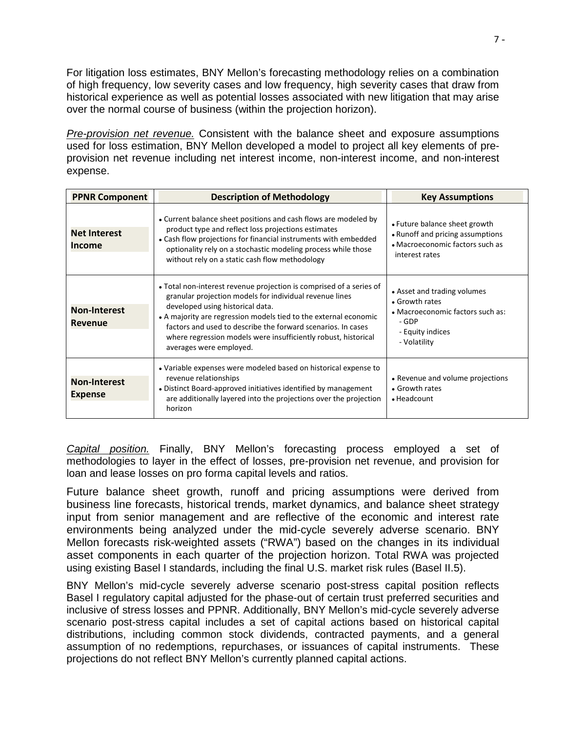For litigation loss estimates, BNY Mellon's forecasting methodology relies on a combination of high frequency, low severity cases and low frequency, high severity cases that draw from historical experience as well as potential losses associated with new litigation that may arise over the normal course of business (within the projection horizon).

Pre-provision net revenue. Consistent with the balance sheet and exposure assumptions used for loss estimation, BNY Mellon developed a model to project all key elements of preprovision net revenue including net interest income, non-interest income, and non-interest expense.

| <b>PPNR Component</b>                 | <b>Description of Methodology</b>                                                                                                                                                                                                                                                                                                                                                                   | <b>Key Assumptions</b>                                                                                                         |
|---------------------------------------|-----------------------------------------------------------------------------------------------------------------------------------------------------------------------------------------------------------------------------------------------------------------------------------------------------------------------------------------------------------------------------------------------------|--------------------------------------------------------------------------------------------------------------------------------|
| <b>Net Interest</b><br>Income         | • Current balance sheet positions and cash flows are modeled by<br>product type and reflect loss projections estimates<br>• Cash flow projections for financial instruments with embedded<br>optionality rely on a stochastic modeling process while those<br>without rely on a static cash flow methodology                                                                                        | • Future balance sheet growth<br>• Runoff and pricing assumptions<br>• Macroeconomic factors such as<br>interest rates         |
| <b>Non-Interest</b><br><b>Revenue</b> | • Total non-interest revenue projection is comprised of a series of<br>granular projection models for individual revenue lines<br>developed using historical data.<br>• A majority are regression models tied to the external economic<br>factors and used to describe the forward scenarios. In cases<br>where regression models were insufficiently robust, historical<br>averages were employed. | • Asset and trading volumes<br>• Growth rates<br>• Macroeconomic factors such as:<br>- GDP<br>- Equity indices<br>- Volatility |
| <b>Non-Interest</b><br><b>Expense</b> | • Variable expenses were modeled based on historical expense to<br>revenue relationships<br>• Distinct Board-approved initiatives identified by management<br>are additionally layered into the projections over the projection<br>horizon                                                                                                                                                          | • Revenue and volume projections<br>• Growth rates<br>$\bullet$ Headcount                                                      |

Capital position. Finally, BNY Mellon's forecasting process employed a set of methodologies to layer in the effect of losses, pre-provision net revenue, and provision for loan and lease losses on pro forma capital levels and ratios.

Future balance sheet growth, runoff and pricing assumptions were derived from business line forecasts, historical trends, market dynamics, and balance sheet strategy input from senior management and are reflective of the economic and interest rate environments being analyzed under the mid-cycle severely adverse scenario. BNY Mellon forecasts risk-weighted assets ("RWA") based on the changes in its individual asset components in each quarter of the projection horizon. Total RWA was projected using existing Basel I standards, including the final U.S. market risk rules (Basel II.5).

BNY Mellon's mid-cycle severely adverse scenario post-stress capital position reflects Basel I regulatory capital adjusted for the phase-out of certain trust preferred securities and inclusive of stress losses and PPNR. Additionally, BNY Mellon's mid-cycle severely adverse scenario post-stress capital includes a set of capital actions based on historical capital distributions, including common stock dividends, contracted payments, and a general assumption of no redemptions, repurchases, or issuances of capital instruments. These projections do not reflect BNY Mellon's currently planned capital actions.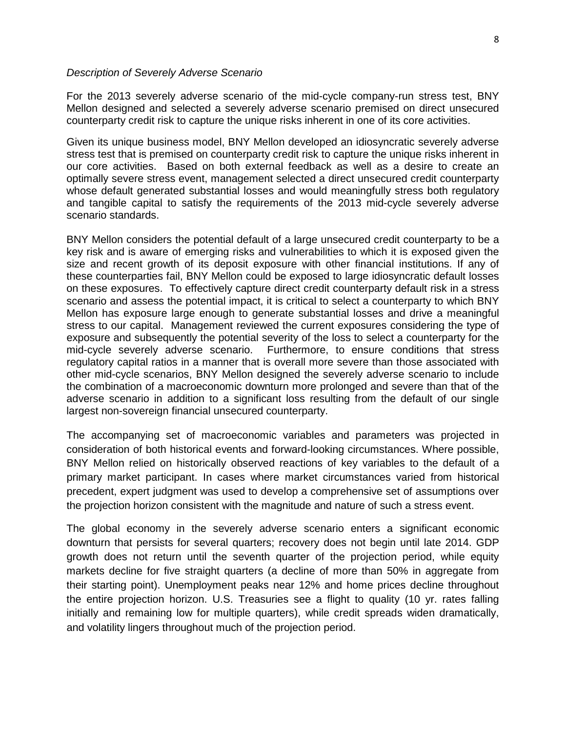### Description of Severely Adverse Scenario

For the 2013 severely adverse scenario of the mid-cycle company-run stress test, BNY Mellon designed and selected a severely adverse scenario premised on direct unsecured counterparty credit risk to capture the unique risks inherent in one of its core activities.

Given its unique business model, BNY Mellon developed an idiosyncratic severely adverse stress test that is premised on counterparty credit risk to capture the unique risks inherent in our core activities. Based on both external feedback as well as a desire to create an optimally severe stress event, management selected a direct unsecured credit counterparty whose default generated substantial losses and would meaningfully stress both regulatory and tangible capital to satisfy the requirements of the 2013 mid-cycle severely adverse scenario standards.

BNY Mellon considers the potential default of a large unsecured credit counterparty to be a key risk and is aware of emerging risks and vulnerabilities to which it is exposed given the size and recent growth of its deposit exposure with other financial institutions. If any of these counterparties fail, BNY Mellon could be exposed to large idiosyncratic default losses on these exposures. To effectively capture direct credit counterparty default risk in a stress scenario and assess the potential impact, it is critical to select a counterparty to which BNY Mellon has exposure large enough to generate substantial losses and drive a meaningful stress to our capital. Management reviewed the current exposures considering the type of exposure and subsequently the potential severity of the loss to select a counterparty for the mid-cycle severely adverse scenario. Furthermore, to ensure conditions that stress regulatory capital ratios in a manner that is overall more severe than those associated with other mid-cycle scenarios, BNY Mellon designed the severely adverse scenario to include the combination of a macroeconomic downturn more prolonged and severe than that of the adverse scenario in addition to a significant loss resulting from the default of our single largest non-sovereign financial unsecured counterparty.

The accompanying set of macroeconomic variables and parameters was projected in consideration of both historical events and forward-looking circumstances. Where possible, BNY Mellon relied on historically observed reactions of key variables to the default of a primary market participant. In cases where market circumstances varied from historical precedent, expert judgment was used to develop a comprehensive set of assumptions over the projection horizon consistent with the magnitude and nature of such a stress event.

The global economy in the severely adverse scenario enters a significant economic downturn that persists for several quarters; recovery does not begin until late 2014. GDP growth does not return until the seventh quarter of the projection period, while equity markets decline for five straight quarters (a decline of more than 50% in aggregate from their starting point). Unemployment peaks near 12% and home prices decline throughout the entire projection horizon. U.S. Treasuries see a flight to quality (10 yr. rates falling initially and remaining low for multiple quarters), while credit spreads widen dramatically, and volatility lingers throughout much of the projection period.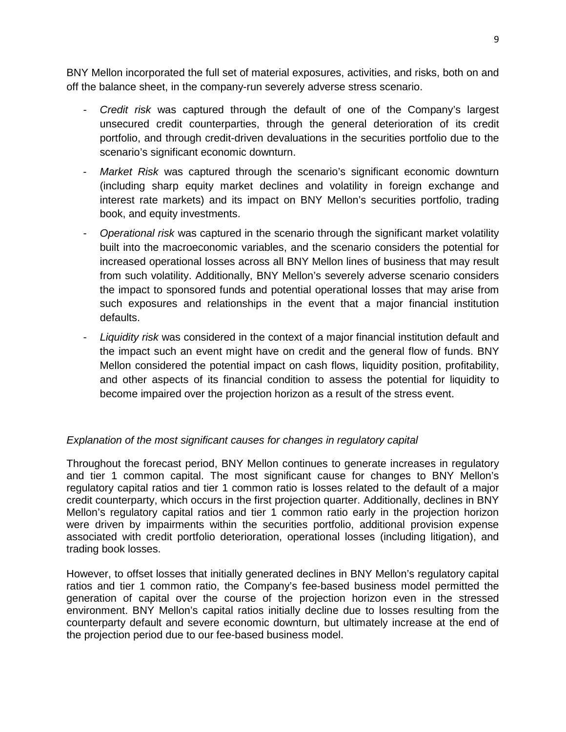BNY Mellon incorporated the full set of material exposures, activities, and risks, both on and off the balance sheet, in the company-run severely adverse stress scenario.

- Credit risk was captured through the default of one of the Company's largest unsecured credit counterparties, through the general deterioration of its credit portfolio, and through credit-driven devaluations in the securities portfolio due to the scenario's significant economic downturn.
- Market Risk was captured through the scenario's significant economic downturn (including sharp equity market declines and volatility in foreign exchange and interest rate markets) and its impact on BNY Mellon's securities portfolio, trading book, and equity investments.
- Operational risk was captured in the scenario through the significant market volatility built into the macroeconomic variables, and the scenario considers the potential for increased operational losses across all BNY Mellon lines of business that may result from such volatility. Additionally, BNY Mellon's severely adverse scenario considers the impact to sponsored funds and potential operational losses that may arise from such exposures and relationships in the event that a major financial institution defaults.
- Liquidity risk was considered in the context of a major financial institution default and the impact such an event might have on credit and the general flow of funds. BNY Mellon considered the potential impact on cash flows, liquidity position, profitability, and other aspects of its financial condition to assess the potential for liquidity to become impaired over the projection horizon as a result of the stress event.

# Explanation of the most significant causes for changes in regulatory capital

Throughout the forecast period, BNY Mellon continues to generate increases in regulatory and tier 1 common capital. The most significant cause for changes to BNY Mellon's regulatory capital ratios and tier 1 common ratio is losses related to the default of a major credit counterparty, which occurs in the first projection quarter. Additionally, declines in BNY Mellon's regulatory capital ratios and tier 1 common ratio early in the projection horizon were driven by impairments within the securities portfolio, additional provision expense associated with credit portfolio deterioration, operational losses (including litigation), and trading book losses.

However, to offset losses that initially generated declines in BNY Mellon's regulatory capital ratios and tier 1 common ratio, the Company's fee-based business model permitted the generation of capital over the course of the projection horizon even in the stressed environment. BNY Mellon's capital ratios initially decline due to losses resulting from the counterparty default and severe economic downturn, but ultimately increase at the end of the projection period due to our fee-based business model.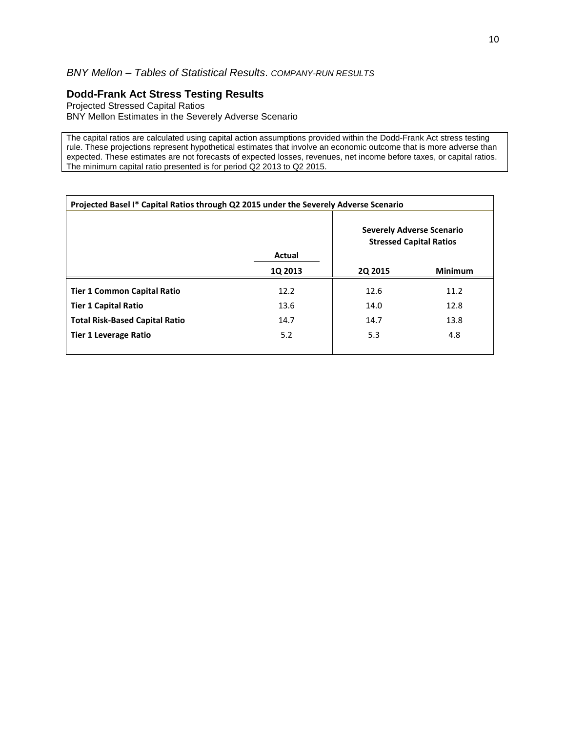# BNY Mellon – Tables of Statistical Results. COMPANY-RUN RESULTS

# **Dodd-Frank Act Stress Testing Results**

Projected Stressed Capital Ratios BNY Mellon Estimates in the Severely Adverse Scenario

The capital ratios are calculated using capital action assumptions provided within the Dodd-Frank Act stress testing rule. These projections represent hypothetical estimates that involve an economic outcome that is more adverse than expected. These estimates are not forecasts of expected losses, revenues, net income before taxes, or capital ratios. The minimum capital ratio presented is for period Q2 2013 to Q2 2015.

| Projected Basel I* Capital Ratios through Q2 2015 under the Severely Adverse Scenario |                |                                                                    |                |
|---------------------------------------------------------------------------------------|----------------|--------------------------------------------------------------------|----------------|
|                                                                                       |                | <b>Severely Adverse Scenario</b><br><b>Stressed Capital Ratios</b> |                |
|                                                                                       | Actual         |                                                                    |                |
|                                                                                       | <b>1Q 2013</b> | <b>2Q 2015</b>                                                     | <b>Minimum</b> |
| <b>Tier 1 Common Capital Ratio</b>                                                    | 12.2           | 12.6                                                               | 11.2           |
| <b>Tier 1 Capital Ratio</b>                                                           | 13.6           | 14.0                                                               | 12.8           |
| <b>Total Risk-Based Capital Ratio</b>                                                 | 14.7           | 14.7                                                               | 13.8           |
| <b>Tier 1 Leverage Ratio</b>                                                          | 5.2            | 5.3                                                                | 4.8            |
|                                                                                       |                |                                                                    |                |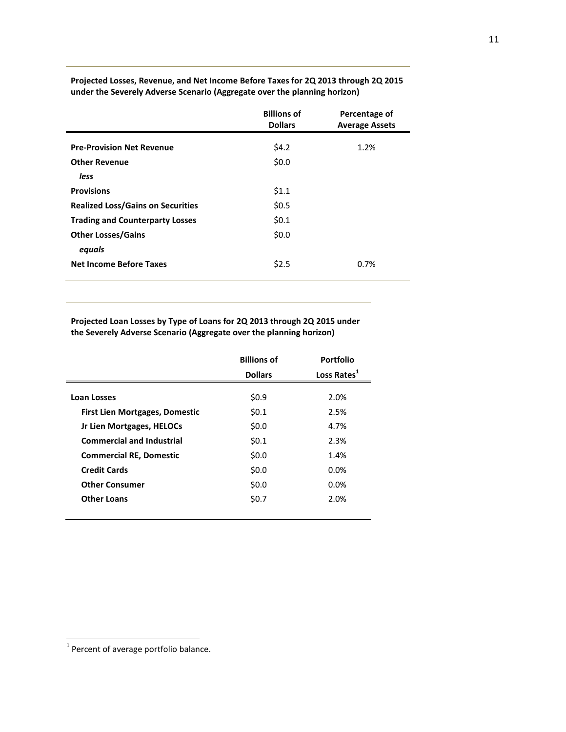|                                          | <b>Billions of</b><br><b>Dollars</b> | Percentage of<br><b>Average Assets</b> |
|------------------------------------------|--------------------------------------|----------------------------------------|
| <b>Pre-Provision Net Revenue</b>         | \$4.2                                | 1.2%                                   |
| <b>Other Revenue</b>                     | \$0.0\$                              |                                        |
| less                                     |                                      |                                        |
| <b>Provisions</b>                        | \$1.1                                |                                        |
| <b>Realized Loss/Gains on Securities</b> | \$0.5                                |                                        |
| <b>Trading and Counterparty Losses</b>   | \$0.1                                |                                        |
| <b>Other Losses/Gains</b>                | \$0.0                                |                                        |
| equals                                   |                                      |                                        |
| <b>Net Income Before Taxes</b>           | \$2.5                                | 0.7%                                   |

**Projected Losses, Revenue, and Net Income Before Taxes for 2Q 2013 through 2Q 2015 under the Severely Adverse Scenario (Aggregate over the planning horizon)** 

**Projected Loan Losses by Type of Loans for 2Q 2013 through 2Q 2015 under the Severely Adverse Scenario (Aggregate over the planning horizon)** 

|                                       | <b>Billions of</b> | Portfolio               |
|---------------------------------------|--------------------|-------------------------|
|                                       | <b>Dollars</b>     | Loss Rates <sup>1</sup> |
|                                       |                    |                         |
| Loan Losses                           | \$0.9              | 2.0%                    |
| <b>First Lien Mortgages, Domestic</b> | 50.1               | 2.5%                    |
| Jr Lien Mortgages, HELOCs             | \$0.0              | 4.7%                    |
| <b>Commercial and Industrial</b>      | \$0.1              | 2.3%                    |
| <b>Commercial RE, Domestic</b>        | \$0.0              | 1.4%                    |
| <b>Credit Cards</b>                   | \$0.0              | 0.0%                    |
| <b>Other Consumer</b>                 | \$0.0              | 0.0%                    |
| <b>Other Loans</b>                    | \$0.7              | 2.0%                    |
|                                       |                    |                         |

 $\overline{a}$ 

 $1$  Percent of average portfolio balance.